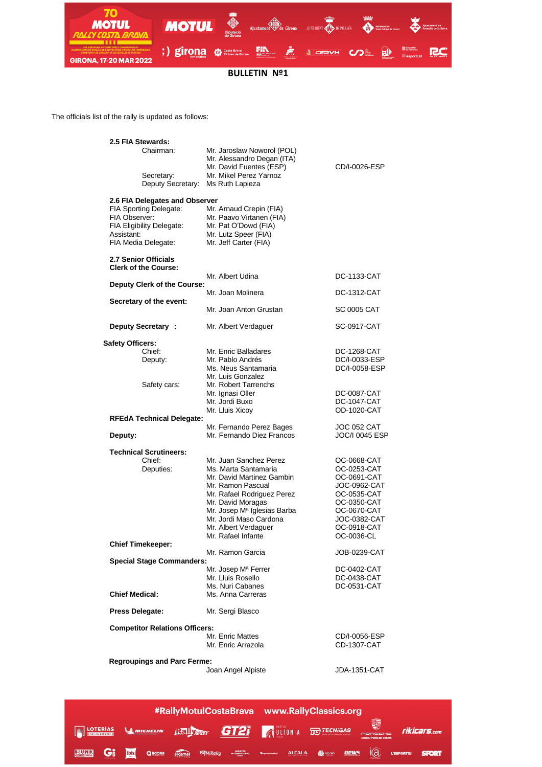

**BULLETIN Nº1**

The officials list of the rally is updated as follows:

| 2.5 FIA Stewards:                                   |                                                                                                               |                             |
|-----------------------------------------------------|---------------------------------------------------------------------------------------------------------------|-----------------------------|
| Chairman:                                           | Mr. Jaroslaw Noworol (POL)<br>Mr. Alessandro Degan (ITA)<br>Mr. David Fuentes (ESP)<br>Mr. Mikel Perez Yarnoz | CD/I-0026-ESP               |
| Secretary:<br>Deputy Secretary:                     | Ms Ruth Lapieza                                                                                               |                             |
| 2.6 FIA Delegates and Observer                      |                                                                                                               |                             |
| FIA Sporting Delegate:                              | Mr. Arnaud Crepin (FIA)                                                                                       |                             |
| FIA Observer:                                       | Mr. Paavo Virtanen (FIA)                                                                                      |                             |
| FIA Eligibility Delegate:                           | Mr. Pat O'Dowd (FIA)                                                                                          |                             |
| Assistant:<br>FIA Media Delegate:                   | Mr. Lutz Speer (FIA)<br>Mr. Jeff Carter (FIA)                                                                 |                             |
|                                                     |                                                                                                               |                             |
| 2.7 Senior Officials<br><b>Clerk of the Course:</b> |                                                                                                               |                             |
| Deputy Clerk of the Course:                         | Mr. Albert Udina                                                                                              | DC-1133-CAT                 |
|                                                     | Mr. Joan Molinera                                                                                             | DC-1312-CAT                 |
| Secretary of the event:                             |                                                                                                               |                             |
|                                                     | Mr. Joan Anton Grustan                                                                                        | SC 0005 CAT                 |
| Deputy Secretary:                                   | Mr. Albert Verdaguer                                                                                          | SC-0917-CAT                 |
| <b>Safety Officers:</b>                             |                                                                                                               |                             |
| Chief:                                              | Mr. Enric Balladares                                                                                          | DC-1268-CAT                 |
| Deputy:                                             | Mr. Pablo Andrés                                                                                              | DC/I-0033-ESP               |
|                                                     | Ms. Neus Santamaria<br>Mr. Luis Gonzalez                                                                      | DC/I-0058-ESP               |
| Safety cars:                                        | Mr. Robert Tarrenchs                                                                                          |                             |
|                                                     | Mr. Ignasi Oller                                                                                              | DC-0087-CAT                 |
|                                                     | Mr. Jordi Buxo                                                                                                | DC-1047-CAT                 |
|                                                     | Mr. Lluis Xicoy                                                                                               | <b>OD-1020-CAT</b>          |
| <b>RFEdA Technical Delegate:</b>                    | Mr. Fernando Perez Bages                                                                                      | JOC 052 CAT                 |
| Deputy:                                             | Mr. Fernando Diez Francos                                                                                     | JOC/I 0045 ESP              |
|                                                     |                                                                                                               |                             |
| <b>Technical Scrutineers:</b><br>Chief:             | Mr. Juan Sanchez Perez                                                                                        | OC-0668-CAT                 |
| Deputies:                                           | Ms. Marta Santamaria                                                                                          | OC-0253-CAT                 |
|                                                     | Mr. David Martinez Gambin                                                                                     | OC-0691-CAT                 |
|                                                     | Mr. Ramon Pascual                                                                                             | JOC-0962-CAT                |
|                                                     | Mr. Rafael Rodriguez Perez                                                                                    | OC-0535-CAT                 |
|                                                     | Mr. David Moragas                                                                                             | OC-0350-CAT                 |
|                                                     | Mr. Josep Mª Iglesias Barba                                                                                   | OC-0670-CAT                 |
|                                                     | Mr. Jordi Maso Cardona<br>Mr. Albert Verdaguer                                                                | JOC-0382-CAT<br>OC-0918-CAT |
|                                                     | Mr. Rafael Infante                                                                                            | OC-0036-CL                  |
| <b>Chief Timekeeper:</b>                            |                                                                                                               |                             |
|                                                     | Mr. Ramon Garcia                                                                                              | JOB-0239-CAT                |
| <b>Special Stage Commanders:</b>                    |                                                                                                               |                             |
|                                                     | Mr. Josep M <sup>a</sup> Ferrer<br>Mr. Lluis Rosello                                                          | DC-0402-CAT<br>DC-0438-CAT  |
|                                                     | Ms. Nuri Cabanes                                                                                              | DC-0531-CAT                 |
| <b>Chief Medical:</b>                               | Ms. Anna Carreras                                                                                             |                             |
| Press Delegate:                                     | Mr. Sergi Blasco                                                                                              |                             |
| <b>Competitor Relations Officers:</b>               |                                                                                                               |                             |
|                                                     | Mr. Enric Mattes                                                                                              | CD/I-0056-ESP               |
|                                                     | Mr. Enric Arrazola                                                                                            | CD-1307-CAT                 |
|                                                     |                                                                                                               |                             |
| <b>Regroupings and Parc Ferme:</b>                  | Joan Angel Alpiste                                                                                            | JDA-1351-CAT                |
|                                                     |                                                                                                               |                             |
|                                                     |                                                                                                               |                             |

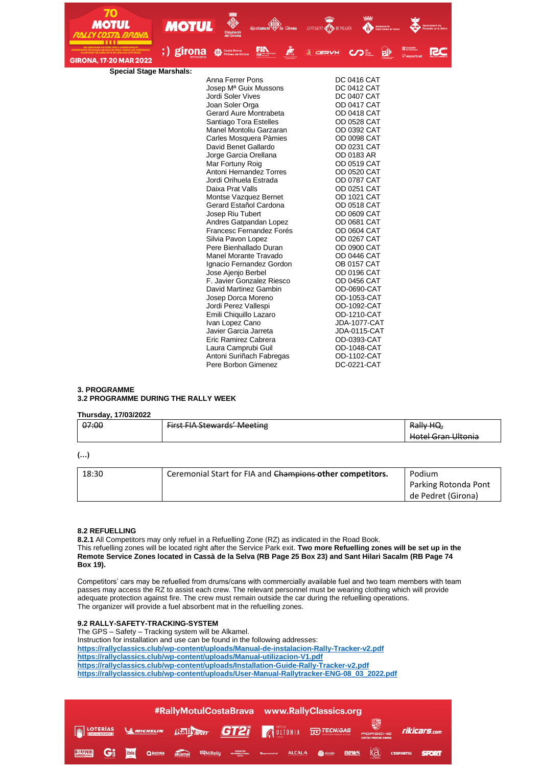| 70<br><b>MOTUL</b>             |              |                                                  |   |                                  |                                   |  |
|--------------------------------|--------------|--------------------------------------------------|---|----------------------------------|-----------------------------------|--|
|                                | <b>MOTUL</b> | Ajuntament & de Girona<br>Diputació<br>de Girona |   | AJUNTAMENT <b>CHE DE PALAMÓS</b> |                                   |  |
|                                |              |                                                  |   |                                  |                                   |  |
| <b>GIRONA, 17-20 MAR 2022</b>  | ;) girona    | 開設<br><b>Costa Brava</b><br>æь                   | Æ | <b>A</b> CERVH                   | $CD =$                            |  |
| <b>Special Stage Marshals:</b> |              |                                                  |   |                                  |                                   |  |
|                                |              | Anna Ferrer Pons                                 |   |                                  | DC 0416 CAT                       |  |
|                                |              | Josep M <sup>a</sup> Guix Mussons                |   |                                  | <b>DC 0412 CAT</b>                |  |
|                                |              | Jordi Soler Vives                                |   |                                  | <b>DC 0407 CAT</b>                |  |
|                                |              | Joan Soler Orga                                  |   |                                  | <b>OD 0417 CAT</b>                |  |
|                                |              | Gerard Aure Montrabeta                           |   |                                  | <b>OD 0418 CAT</b>                |  |
|                                |              | Santiago Tora Estelles                           |   |                                  | <b>OD 0528 CAT</b>                |  |
|                                |              | Manel Montoliu Garzaran                          |   |                                  | OD 0392 CAT                       |  |
|                                |              | Carles Mosquera Pàmies                           |   |                                  | OD 0098 CAT                       |  |
|                                |              | David Benet Gallardo                             |   |                                  | <b>OD 0231 CAT</b>                |  |
|                                |              | Jorge Garcia Orellana                            |   |                                  | OD 0183 AR                        |  |
|                                |              | Mar Fortuny Roig                                 |   |                                  | <b>OD 0519 CAT</b>                |  |
|                                |              | Antoni Hernandez Torres                          |   |                                  | <b>OD 0520 CAT</b>                |  |
|                                |              | Jordi Orihuela Estrada                           |   |                                  | <b>OD 0787 CAT</b>                |  |
|                                |              | Daixa Prat Valls                                 |   |                                  | <b>OD 0251 CAT</b>                |  |
|                                |              | Montse Vazquez Bernet                            |   |                                  | OD 1021 CAT                       |  |
|                                |              | Gerard Estañol Cardona                           |   |                                  | <b>OD 0518 CAT</b>                |  |
|                                |              | Josep Riu Tubert                                 |   |                                  | <b>OD 0609 CAT</b>                |  |
|                                |              | Andres Gatpandan Lopez                           |   |                                  | <b>OD 0681 CAT</b>                |  |
|                                |              | Francesc Fernandez Forés                         |   |                                  | <b>OD 0604 CAT</b>                |  |
|                                |              | Silvia Pavon Lopez<br>Pere Bienhallado Duran     |   |                                  | <b>OD 0267 CAT</b><br>OD 0900 CAT |  |
|                                |              | Manel Morante Travado                            |   |                                  | <b>OD 0446 CAT</b>                |  |
|                                |              | Ignacio Fernandez Gordon                         |   |                                  | <b>OB 0157 CAT</b>                |  |
|                                |              | Jose Ajenjo Berbel                               |   |                                  | <b>OD 0196 CAT</b>                |  |
|                                |              | F. Javier Gonzalez Riesco                        |   |                                  | OD 0456 CAT                       |  |
|                                |              | David Martinez Gambin                            |   |                                  | OD-0690-CAT                       |  |
|                                |              | Josep Dorca Moreno                               |   |                                  | OD-1053-CAT                       |  |
|                                |              | Jordi Perez Vallespi                             |   |                                  | OD-1092-CAT                       |  |
|                                |              | Emili Chiquillo Lazaro                           |   |                                  | OD-1210-CAT                       |  |
|                                |              | Ivan Lopez Cano                                  |   |                                  | <b>JDA-1077-CAT</b>               |  |
|                                |              | Javier Garcia Jarreta                            |   |                                  | JDA-0115-CAT                      |  |
|                                |              | Eric Ramirez Cabrera                             |   |                                  | OD-0393-CAT                       |  |
|                                |              | Laura Camprubi Guil                              |   |                                  | OD-1048-CAT                       |  |
|                                |              | Antoni Suriñach Fabregas                         |   |                                  | OD-1102-CAT                       |  |
|                                |              | Pere Borbon Gimenez                              |   |                                  | DC-0221-CAT                       |  |

### **3. PROGRAMME 3.2 PROGRAMME DURING THE RALLY WEEK**

### **Thursday, 17/03/2022**

| 07:00 | <b>First FIA Stewards' Meeting</b><br><del>mot involcwarus wiecung</del> | Rally HQ,                                          |
|-------|--------------------------------------------------------------------------|----------------------------------------------------|
|       |                                                                          | Hotel Gran Ultonia<br><del>noter oran ontoma</del> |

**(…)**

| 18:30 | Ceremonial Start for FIA and Champions other competitors. | Podium               |
|-------|-----------------------------------------------------------|----------------------|
|       |                                                           | Parking Rotonda Pont |
|       |                                                           | de Pedret (Girona)   |

#### **8.2 REFUELLING**

**8.2.1** All Competitors may only refuel in a Refuelling Zone (RZ) as indicated in the Road Book. This refuelling zones will be located right after the Service Park exit. **Two more Refuelling zones will be set up in the Remote Service Zones located in Cassà de la Selva (RB Page 25 Box 23) and Sant Hilari Sacalm (RB Page 74 Box 19).**

Competitors' cars may be refuelled from drums/cans with commercially available fuel and two team members with team passes may access the RZ to assist each crew. The relevant personnel must be wearing clothing which will provide adequate protection against fire. The crew must remain outside the car during the refuelling operations. The organizer will provide a fuel absorbent mat in the refuelling zones.

## **9.2 RALLY-SAFETY-TRACKING-SYSTEM**

The GPS – Safety – Tracking system will be Alkamel. Instruction for installation and use can be found in the following addresses: **<https://rallyclassics.club/wp-content/uploads/Manual-de-instalacion-Rally-Tracker-v2.pdf> <https://rallyclassics.club/wp-content/uploads/Manual-utilizacion-V1.pdf> <https://rallyclassics.club/wp-content/uploads/Installation-Guide-Rally-Tracker-v2.pdf> [https://rallyclassics.club/wp-content/uploads/User-Manual-Rallytracker-ENG-08\\_03\\_2022.pdf](https://rallyclassics.club/wp-content/uploads/User-Manual-Rallytracker-ENG-08_03_2022.pdf)**

|                                                                |    |      |        |  |  | #RallyMotulCostaBrava www.RallyClassics.org   |  |  |                                   |  |                                         |                                         |              |
|----------------------------------------------------------------|----|------|--------|--|--|-----------------------------------------------|--|--|-----------------------------------|--|-----------------------------------------|-----------------------------------------|--------------|
| <b>STARIAS LA MICHELIN HELLY CAT GT21</b> AULTONIA TO TECNIGAS |    |      |        |  |  |                                               |  |  |                                   |  | PORSCHE<br><b>CENTRO PORSCHE GIRONA</b> |                                         | rikicars.com |
| <b>ERUNIK</b>                                                  | Gi | ibis | QAGORA |  |  | alkamel <b>E</b> MiRally <b>INTERNACIONAL</b> |  |  | Supramotal <b>ALCALA</b> @ alcolà |  |                                         | $new_5$ $\bigcirc$ $\bigcirc$ vesportiu | <b>SPORT</b> |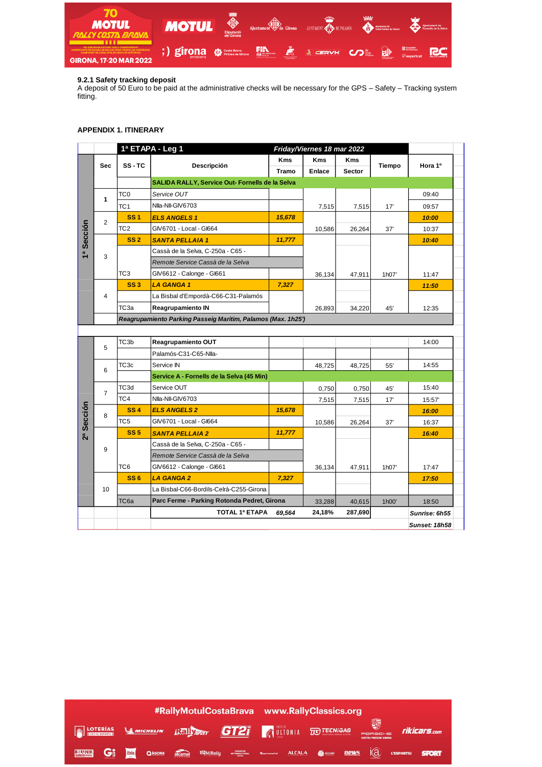

## **9.2.1 Safety tracking deposit**

A deposit of 50 Euro to be paid at the administrative checks will be necessary for the GPS – Safety – Tracking system fitting.

### **APPENDIX 1. ITINERARY**

|                |                |                                                              | 1ª ETAPA - Leg 1                                |              | Friday/Viernes 18 mar 2022 |               |        |               |  |  |  |  |
|----------------|----------------|--------------------------------------------------------------|-------------------------------------------------|--------------|----------------------------|---------------|--------|---------------|--|--|--|--|
|                |                |                                                              |                                                 | <b>Kms</b>   | <b>Kms</b>                 | <b>Kms</b>    |        |               |  |  |  |  |
|                | <b>Sec</b>     | SS-TC                                                        | Descripción                                     | <b>Tramo</b> | <b>Enlace</b>              | <b>Sector</b> | Tiempo | Hora 1º       |  |  |  |  |
|                |                |                                                              | SALIDA RALLY, Service Out- Fornells de la Selva |              |                            |               |        |               |  |  |  |  |
|                | 1              | TC <sub>0</sub>                                              | Service OUT                                     |              |                            |               |        | 09:40         |  |  |  |  |
|                |                | TC <sub>1</sub>                                              | Nila-Nil-GIV6703                                |              | 7,515                      | 7,515         | 17'    | 09:57         |  |  |  |  |
|                | $\overline{2}$ | SS <sub>1</sub>                                              | <b>ELS ANGELS 1</b>                             | 15,678       |                            |               |        | 10:00         |  |  |  |  |
|                |                | TC <sub>2</sub>                                              | GIV6701 - Local - GI664                         |              | 10,586                     | 26,264        | 37'    | 10:37         |  |  |  |  |
| a Sección      |                | <b>SS 2</b>                                                  | <b>SANTA PELLAIA 1</b>                          | 11,777       |                            |               |        | 10:40         |  |  |  |  |
|                | 3              |                                                              | Cassà de la Selva, C-250a - C65 -               |              |                            |               |        |               |  |  |  |  |
|                |                |                                                              | Remote Service Cassà de la Selva                |              |                            |               |        |               |  |  |  |  |
|                |                | TC <sub>3</sub>                                              | GIV6612 - Calonge - GI661                       |              | 36,134                     | 47,911        | 1h07'  | 11:47         |  |  |  |  |
|                |                | <b>SS3</b>                                                   | <b>LA GANGA1</b>                                | 7,327        |                            |               |        | 11:50         |  |  |  |  |
|                | 4              |                                                              | La Bisbal d'Empordà-C66-C31-Palamós             |              |                            |               |        |               |  |  |  |  |
|                |                | ТСЗа                                                         | Reagrupamiento IN                               |              | 26,893                     | 34,220        | 45'    | 12:35         |  |  |  |  |
|                |                | Reagrupamiento Parking Passeig Maritim, Palamos (Max. 1h25') |                                                 |              |                            |               |        |               |  |  |  |  |
|                |                |                                                              |                                                 |              |                            |               |        |               |  |  |  |  |
|                | 5              | TC3b                                                         | Reagrupamiento OUT                              |              |                            |               |        | 14:00         |  |  |  |  |
|                |                |                                                              | Palamós-C31-C65-Nlla-                           |              |                            |               |        |               |  |  |  |  |
|                | 6              | TC <sub>3c</sub>                                             | Service IN                                      |              | 48,725                     | 48,725        | 55'    | 14:55         |  |  |  |  |
|                |                |                                                              | Service A - Fornells de la Selva (45 Min)       |              |                            |               |        |               |  |  |  |  |
|                | $\overline{7}$ | TC3d                                                         | Service OUT                                     |              | 0,750                      | 0,750         | 45'    | 15:40         |  |  |  |  |
|                |                | TC4                                                          | Nila-Nil-GIV6703                                |              | 7,515                      | 7,515         | 17'    | 15:57         |  |  |  |  |
|                | 8              | <b>SS4</b>                                                   | <b>ELS ANGELS 2</b>                             | 15,678       |                            |               |        | 16:00         |  |  |  |  |
| Sección        |                | TC <sub>5</sub>                                              | GIV6701 - Local - GI664                         |              | 10,586                     | 26,264        | 37'    | 16:37         |  |  |  |  |
| 2 <sup>a</sup> |                | <b>SS 5</b>                                                  | <b>SANTA PELLAIA 2</b>                          | 11,777       |                            |               |        | 16:40         |  |  |  |  |
|                | 9              |                                                              | Cassà de la Selva, C-250a - C65 -               |              |                            |               |        |               |  |  |  |  |
|                |                |                                                              | Remote Service Cassà de la Selva                |              |                            |               |        |               |  |  |  |  |
|                |                | TC <sub>6</sub>                                              | GIV6612 - Calonge - GI661                       |              | 36,134                     | 47,911        | 1h07'  | 17:47         |  |  |  |  |
|                |                | <b>SS6</b>                                                   | <b>LA GANGA 2</b>                               | 7,327        |                            |               |        | 17:50         |  |  |  |  |
|                | 10             |                                                              | La Bisbal-C66-Bordils-Celrà-C255-Girona         |              |                            |               |        |               |  |  |  |  |
|                |                | TC <sub>6a</sub>                                             | Parc Ferme - Parking Rotonda Pedret, Girona     |              | 33,288                     | 40,615        | 1h00'  | 18:50         |  |  |  |  |
|                |                |                                                              | TOTAL 1ª ETAPA                                  | 69,564       | 24,18%                     | 287,690       |        | Sunrise: 6h55 |  |  |  |  |
|                |                |                                                              |                                                 |              |                            |               |        | Sunset: 18h58 |  |  |  |  |

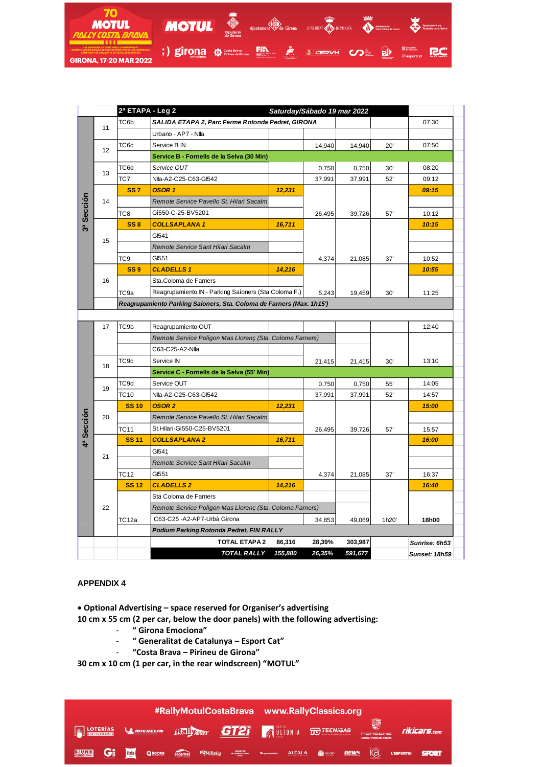

| 2ª ETAPA - Leg 2<br>Saturday/Sábado 19 mar 2022 |                                                     |                                                                      |                                                          |         |        |         |       |               |  |  |  |  |
|-------------------------------------------------|-----------------------------------------------------|----------------------------------------------------------------------|----------------------------------------------------------|---------|--------|---------|-------|---------------|--|--|--|--|
|                                                 | 11                                                  | TC6b                                                                 | SALIDA ETAPA 2, Parc Ferme Rotonda Pedret, GIRONA        |         |        |         |       | 07:30         |  |  |  |  |
|                                                 |                                                     |                                                                      | Urbano - AP7 - Nlla                                      |         |        |         |       |               |  |  |  |  |
|                                                 |                                                     | TC6c                                                                 | Service B IN                                             |         | 14,940 | 14,940  | 20'   | 07:50         |  |  |  |  |
|                                                 | 12                                                  |                                                                      | Service B - Fornells de la Selva (30 Min)                |         |        |         |       |               |  |  |  |  |
|                                                 | 13                                                  | TC6d                                                                 | Service OUT                                              |         | 0,750  | 0,750   | 30'   | 08:20         |  |  |  |  |
|                                                 |                                                     | TC7                                                                  | Nlla-A2-C25-C63-Gl542                                    |         | 37,991 | 37,991  | 52'   | 09:12         |  |  |  |  |
|                                                 |                                                     | <b>SS7</b>                                                           | <b>OSOR1</b>                                             | 12,231  |        |         |       | 09:15         |  |  |  |  |
| 3ª Sección                                      | 14                                                  |                                                                      | Remote Service Pavello St. Hilari Sacalm                 |         |        |         |       |               |  |  |  |  |
|                                                 |                                                     | TC <sub>8</sub>                                                      | Gi550-C-25-BV5201                                        |         | 26,495 | 39,726  | 57'   | 10:12         |  |  |  |  |
|                                                 |                                                     | <b>SS8</b>                                                           | <b>COLLSAPLANA1</b>                                      | 16,711  |        |         |       | 10:15         |  |  |  |  |
|                                                 |                                                     |                                                                      | GI541                                                    |         |        |         |       |               |  |  |  |  |
|                                                 | 15                                                  |                                                                      | Remote Service Sant Hilari Sacalm                        |         |        |         |       |               |  |  |  |  |
|                                                 |                                                     | TC <sub>9</sub>                                                      | GI551                                                    |         | 4,374  | 21,085  | 37'   | 10:52         |  |  |  |  |
|                                                 |                                                     | <b>SS9</b>                                                           | <b>CLADELLS1</b>                                         | 14,216  |        |         |       | 10:55         |  |  |  |  |
|                                                 | 16                                                  |                                                                      | Sta.Coloma de Farners                                    |         |        |         |       |               |  |  |  |  |
|                                                 |                                                     | TC9a                                                                 | Reagrupamiento IN - Parking Saioners (Sta Coloma F.)     |         | 5,243  | 19,459  | 30'   | 11:25         |  |  |  |  |
|                                                 |                                                     | Reagrupamiento Parking Saioners, Sta. Coloma de Farners (Max. 1h15') |                                                          |         |        |         |       |               |  |  |  |  |
|                                                 |                                                     |                                                                      |                                                          |         |        |         |       |               |  |  |  |  |
|                                                 | 17                                                  | TC <sub>9b</sub>                                                     | Reagrupamiento OUT                                       |         |        |         |       | 12:40         |  |  |  |  |
|                                                 |                                                     |                                                                      | Remote Service Poligon Mas Llorenç (Sta. Coloma Farners) |         |        |         |       |               |  |  |  |  |
|                                                 |                                                     |                                                                      | C63-C25-A2-Nlla                                          |         |        |         |       |               |  |  |  |  |
|                                                 | 18                                                  | TC <sub>9c</sub>                                                     | Service IN                                               |         | 21,415 | 21,415  | 30'   | 13:10         |  |  |  |  |
|                                                 |                                                     |                                                                      | Service C - Fornells de la Selva (55' Min)               |         |        |         |       |               |  |  |  |  |
|                                                 | 19                                                  | TC9d                                                                 | Service OUT                                              |         | 0,750  | 0,750   | 55'   | 14:05         |  |  |  |  |
|                                                 |                                                     | <b>TC10</b>                                                          | Nlla-A2-C25-C63-Gl542                                    |         | 37,991 | 37,991  | 52'   | 14:57         |  |  |  |  |
|                                                 |                                                     | <b>SS 10</b>                                                         | OSOR <sub>2</sub>                                        | 12,231  |        |         |       | 15:00         |  |  |  |  |
| 4ª Sección                                      | 20                                                  |                                                                      | Remote Service Pavello St. Hilari Sacalm                 |         |        |         |       |               |  |  |  |  |
|                                                 |                                                     | <b>TC11</b>                                                          | St.Hilari-Gi550-C25-BV5201                               |         | 26,495 | 39,726  | 57'   | 15:57         |  |  |  |  |
|                                                 |                                                     | <b>SS 11</b>                                                         | <b>COLLSAPLANA 2</b>                                     | 16,711  |        |         |       | 16:00         |  |  |  |  |
|                                                 | 21                                                  |                                                                      | GI541                                                    |         |        |         |       |               |  |  |  |  |
|                                                 |                                                     |                                                                      | Remote Service Sant Hilari Sacalm                        |         |        |         |       |               |  |  |  |  |
|                                                 |                                                     | TC12                                                                 | GI551                                                    |         | 4,374  | 21,085  | 37'   | 16:37         |  |  |  |  |
|                                                 |                                                     | <b>SS12</b>                                                          | <b>CLADELLS 2</b>                                        | 14,216  |        |         |       | 16:40         |  |  |  |  |
|                                                 |                                                     |                                                                      | Sta Coloma de Farners                                    |         |        |         |       |               |  |  |  |  |
|                                                 | 22                                                  |                                                                      | Remote Service Poligon Mas Llorenç (Sta. Coloma Farners) |         |        |         |       |               |  |  |  |  |
|                                                 |                                                     | TC <sub>12a</sub>                                                    | C63-C25 -A2-AP7-Urbà Girona                              |         | 34,853 | 49,069  | 1h20' | 18h00         |  |  |  |  |
|                                                 |                                                     |                                                                      | Podium Parking Rotonda Pedret, FIN RALLY                 |         |        |         |       |               |  |  |  |  |
|                                                 | <b>TOTAL ETAPA 2</b><br>86,316<br>28,39%<br>303,987 |                                                                      |                                                          |         |        |         |       | Sunrise: 6h53 |  |  |  |  |
|                                                 |                                                     |                                                                      | <b>TOTAL RALLY</b>                                       | 155,880 | 26,35% | 591,677 |       | Sunset: 18h59 |  |  |  |  |

# **APPENDIX 4**

• **Optional Advertising – space reserved for Organiser's advertising** 

- **10 cm x 55 cm (2 per car, below the door panels) with the following advertising:**
	- **" Girona Emociona"**
	- **" Generalitat de Catalunya – Esport Cat"**
	- **"Costa Brava – Pirineu de Girona"**

**30 cm x 10 cm (1 per car, in the rear windscreen) "MOTUL"**